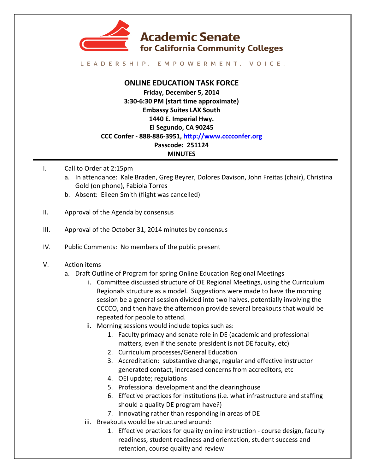

LEADERSHIP. EMPOWERMENT. VOICE.

## **ONLINE EDUCATION TASK FORCE**

**Friday, December 5, 2014 3:30-6:30 PM (start time approximate) Embassy Suites LAX South 1440 E. Imperial Hwy. El Segundo, CA 90245 CCC Confer - 888-886-3951, http://www.cccconfer.org Passcode: 251124 MINUTES**

- I. Call to Order at 2:15pm
	- a. In attendance: Kale Braden, Greg Beyrer, Dolores Davison, John Freitas (chair), Christina Gold (on phone), Fabiola Torres
	- b. Absent: Eileen Smith (flight was cancelled)
- II. Approval of the Agenda by consensus
- III. Approval of the October 31, 2014 minutes by consensus
- IV. Public Comments: No members of the public present

## V. Action items

- a. Draft Outline of Program for spring Online Education Regional Meetings
	- i. Committee discussed structure of OE Regional Meetings, using the Curriculum Regionals structure as a model. Suggestions were made to have the morning session be a general session divided into two halves, potentially involving the CCCCO, and then have the afternoon provide several breakouts that would be repeated for people to attend.
	- ii. Morning sessions would include topics such as:
		- 1. Faculty primacy and senate role in DE (academic and professional matters, even if the senate president is not DE faculty, etc)
		- 2. Curriculum processes/General Education
		- 3. Accreditation: substantive change, regular and effective instructor generated contact, increased concerns from accreditors, etc
		- 4. OEI update; regulations
		- 5. Professional development and the clearinghouse
		- 6. Effective practices for institutions (i.e. what infrastructure and staffing should a quality DE program have?)
		- 7. Innovating rather than responding in areas of DE
	- iii. Breakouts would be structured around:
		- 1. Effective practices for quality online instruction course design, faculty readiness, student readiness and orientation, student success and retention, course quality and review